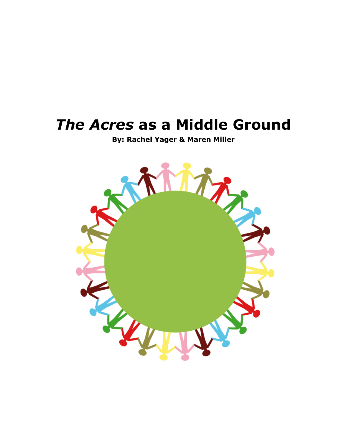# *The Acres* **as a Middle Ground**

**By: Rachel Yager & Maren Miller**

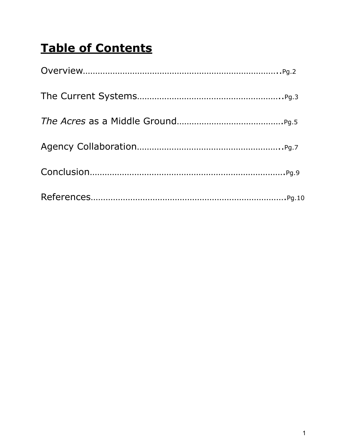# **Table of Contents**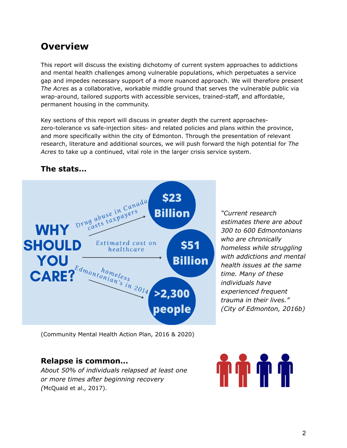## **Overview**

This report will discuss the existing dichotomy of current system approaches to addictions and mental health challenges among vulnerable populations, which perpetuates a service gap and impedes necessary support of a more nuanced approach. We will therefore present *The Acres* as a collaborative, workable middle ground that serves the vulnerable public via wrap-around, tailored supports with accessible services, trained-staff, and affordable, permanent housing in the community.

Key sections of this report will discuss in greater depth the current approacheszero-tolerance vs safe-injection sites- and related policies and plans within the province, and more specifically within the city of Edmonton. Through the presentation of relevant research, literature and additional sources, we will push forward the high potential for *The Acres* to take up a continued, vital role in the larger crisis service system.

### **The stats…**



*"Current research estimates there are about 300 to 600 Edmontonians who are chronically homeless while struggling with addictions and mental health issues at the same time. Many of these individuals have experienced frequent trauma in their lives." (City of Edmonton, 2016b)*

(Community Mental Health Action Plan, 2016 & 2020)

### **Relapse is common…**

*About 50% of individuals relapsed at least one or more times after beginning recovery (*McQuaid et al., 2017).

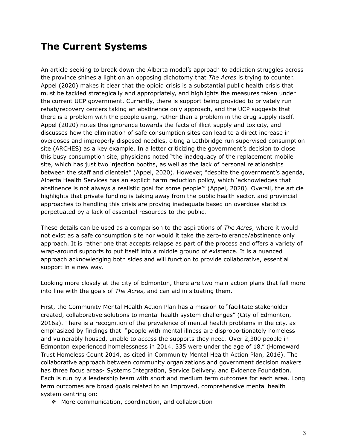### **The Current Systems**

An article seeking to break down the Alberta model's approach to addiction struggles across the province shines a light on an opposing dichotomy that *The Acres* is trying to counter. Appel (2020) makes it clear that the opioid crisis is a substantial public health crisis that must be tackled strategically and appropriately, and highlights the measures taken under the current UCP government. Currently, there is support being provided to privately run rehab/recovery centers taking an abstinence only approach, and the UCP suggests that there is a problem with the people using, rather than a problem in the drug supply itself. Appel (2020) notes this ignorance towards the facts of illicit supply and toxicity, and discusses how the elimination of safe consumption sites can lead to a direct increase in overdoses and improperly disposed needles, citing a Lethbridge run supervised consumption site (ARCHES) as a key example. In a letter criticizing the government's decision to close this busy consumption site, physicians noted "the inadequacy of the replacement mobile site, which has just two injection booths, as well as the lack of personal relationships between the staff and clientele" (Appel, 2020). However, "despite the government's agenda, Alberta Health Services has an [explicit](https://www.albertahealthservices.ca/info/Page15432.aspx) harm reduction policy, which 'acknowledges that abstinence is not always a realistic goal for some people'" (Appel, 2020). Overall, the article highlights that private funding is taking away from the public health sector, and provincial approaches to handling this crisis are proving inadequate based on overdose statistics perpetuated by a lack of essential resources to the public.

These details can be used as a comparison to the aspirations of *The Acres*, where it would not exist as a safe consumption site nor would it take the zero-tolerance/abstinence only approach. It is rather one that accepts relapse as part of the process and offers a variety of wrap-around supports to put itself into a middle ground of existence. It is a nuanced approach acknowledging both sides and will function to provide collaborative, essential support in a new way.

Looking more closely at the city of Edmonton, there are two main action plans that fall more into line with the goals of *The Acres*, and can aid in situating them.

First, the Community Mental Health Action Plan has a mission to "facilitate stakeholder created, collaborative solutions to mental health system challenges" (City of Edmonton, 2016a). There is a recognition of the prevalence of mental health problems in the city, as emphasized by findings that "people with mental illness are disproportionately homeless and vulnerably housed, unable to access the supports they need. Over 2,300 people in Edmonton experienced homelessness in 2014. 335 were under the age of 18." (Homeward Trust Homeless Count 2014, as cited in Community Mental Health Action Plan, 2016). The collaborative approach between community organizations and government decision makers has three focus areas- Systems Integration, Service Delivery, and Evidence Foundation. Each is run by a leadership team with short and medium term outcomes for each area. Long term outcomes are broad goals related to an improved, comprehensive mental health system centring on:

❖ More communication, coordination, and collaboration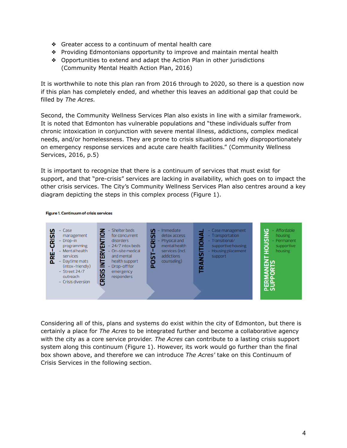- ❖ Greater access to a continuum of mental health care
- ❖ Providing Edmontonians opportunity to improve and maintain mental health
- ❖ Opportunities to extend and adapt the Action Plan in other jurisdictions (Community Mental Health Action Plan, 2016)

It is worthwhile to note this plan ran from 2016 through to 2020, so there is a question now if this plan has completely ended, and whether this leaves an additional gap that could be filled by *The Acres.*

Second, the Community Wellness Services Plan also exists in line with a similar framework. It is noted that Edmonton has vulnerable populations and "these individuals suffer from chronic intoxication in conjunction with severe mental illness, addictions, complex medical needs, and/or homelessness. They are prone to crisis situations and rely disproportionately on emergency response services and acute care health facilities." (Community Wellness Services, 2016, p.5)

It is important to recognize that there is a continuum of services that must exist for support, and that "pre-crisis" services are lacking in availability, which goes on to impact the other crisis services. The City's Community Wellness Services Plan also centres around a key diagram depicting the steps in this complex process (Figure 1).



#### **Figure 1. Continuum of crisis services**

Considering all of this, plans and systems do exist within the city of Edmonton, but there is certainly a place for *The Acres* to be integrated further and become a collaborative agency with the city as a core service provider. *The Acres* can contribute to a lasting crisis support system along this continuum (Figure 1). However, its work would go further than the final box shown above, and therefore we can introduce *The Acres'* take on this Continuum of Crisis Services in the following section.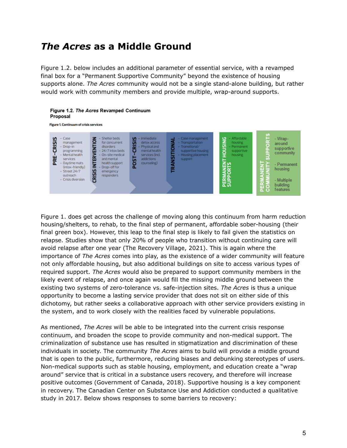## *The Acres* **as a Middle Ground**

Figure 1.2. below includes an additional parameter of essential service, with a revamped final box for a "Permanent Supportive Community" beyond the existence of housing supports alone. *The Acres* community would not be a single stand-alone building, but rather would work with community members and provide multiple, wrap-around supports.

#### Figure 1.2. The Acres Revamped Continuum Proposal



Figure 1. does get across the challenge of moving along this continuum from harm reduction housing/shelters, to rehab, to the final step of permanent, affordable sober-housing (their final green box). However, this leap to the final step is likely to fail given the statistics on relapse. Studies show that only 20% of people who transition without continuing care will avoid relapse after one year (The Recovery Village, 2021). This is again where the importance of *The Acres* comes into play, as the existence of a wider community will feature not only affordable housing, but also additional buildings on site to access various types of required support. *The Acres* would also be prepared to support community members in the likely event of relapse, and once again would fill the missing middle ground between the existing two systems of zero-tolerance vs. safe-injection sites. *The Acres* is thus a unique opportunity to become a lasting service provider that does not sit on either side of this dichotomy, but rather seeks a collaborative approach with other service providers existing in the system, and to work closely with the realities faced by vulnerable populations.

As mentioned, *The Acres* will be able to be integrated into the current crisis response continuum, and broaden the scope to provide community and non-medical support. The criminalization of substance use has resulted in stigmatization and discrimination of these individuals in society. The community *The Acres* aims to build will provide a middle ground that is open to the public, furthermore, reducing biases and debunking stereotypes of users. Non-medical supports such as stable housing, employment, and education create a "wrap around" service that is critical in a substance users recovery, and therefore will increase positive outcomes (Government of Canada, 2018). Supportive housing is a key component in recovery. The Canadian Center on Substance Use and Addiction conducted a qualitative study in 2017. Below shows responses to some barriers to recovery: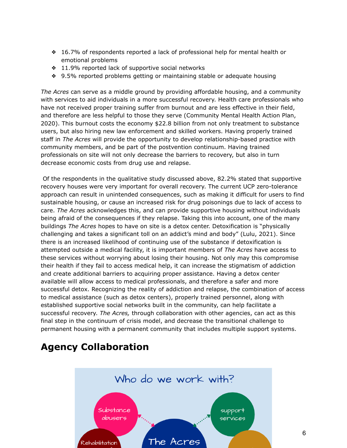- ❖ 16.7% of respondents reported a lack of professional help for mental health or emotional problems
- ❖ 11.9% reported lack of supportive social networks
- ❖ 9.5% reported problems getting or maintaining stable or adequate housing

*The Acres* can serve as a middle ground by providing affordable housing, and a community with services to aid individuals in a more successful recovery. Health care professionals who have not received proper training suffer from burnout and are less effective in their field, and therefore are less helpful to those they serve (Community Mental Health Action Plan, 2020). This burnout costs the economy \$22.8 billion from not only treatment to substance users, but also hiring new law enforcement and skilled workers. Having properly trained staff in *The Acres* will provide the opportunity to develop relationship-based practice with community members, and be part of the postvention continuum. Having trained professionals on site will not only decrease the barriers to recovery, but also in turn decrease economic costs from drug use and relapse.

Of the respondents in the qualitative study discussed above, 82.2% stated that supportive recovery houses were very important for overall recovery. The current UCP zero-tolerance approach can result in unintended consequences, such as making it difficult for users to find sustainable housing, or cause an increased risk for drug poisonings due to lack of access to care. *The Acres* acknowledges this, and can provide supportive housing without individuals being afraid of the consequences if they relapse. Taking this into account, one of the many buildings *The Acres* hopes to have on site is a detox center. Detoxification is "physically challenging and takes a significant toll on an addict's mind and body" (Lulu, 2021). Since there is an increased likelihood of continuing use of the substance if detoxification is attempted outside a medical facility, it is important members of *The Acres* have access to these services without worrying about losing their housing. Not only may this compromise their health if they fail to access medical help, it can increase the stigmatism of addiction and create additional barriers to acquiring proper assistance. Having a detox center available will allow access to medical professionals, and therefore a safer and more successful detox. Recognizing the reality of addiction and relapse, the combination of access to medical assistance (such as detox centers), properly trained personnel, along with established supportive social networks built in the community, can help facilitate a successful recovery. *The Acres,* through collaboration with other agencies, can act as this final step in the continuum of crisis model, and decrease the transitional challenge to permanent housing with a permanent community that includes multiple support systems.

## **Agency Collaboration**

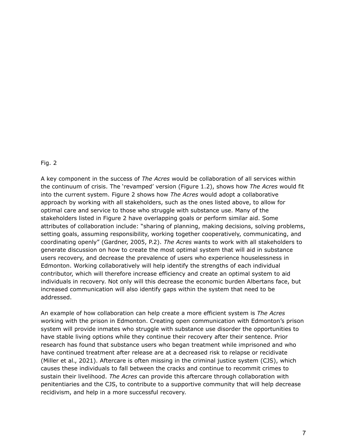#### Fig. 2

A key component in the success of *The Acres* would be collaboration of all services within the continuum of crisis. The 'revamped' version (Figure 1.2), shows how *The Acres* would fit into the current system. Figure 2 shows how *The Acres* would adopt a collaborative approach by working with all stakeholders, such as the ones listed above, to allow for optimal care and service to those who struggle with substance use. Many of the stakeholders listed in Figure 2 have overlapping goals or perform similar aid. Some attributes of collaboration include: "sharing of planning, making decisions, solving problems, setting goals, assuming responsibility, working together cooperatively, communicating, and coordinating openly" (Gardner, 2005, P.2). *The Acres* wants to work with all stakeholders to generate discussion on how to create the most optimal system that will aid in substance users recovery, and decrease the prevalence of users who experience houselessness in Edmonton. Working collaboratively will help identify the strengths of each individual contributor, which will therefore increase efficiency and create an optimal system to aid individuals in recovery. Not only will this decrease the economic burden Albertans face, but increased communication will also identify gaps within the system that need to be addressed.

An example of how collaboration can help create a more efficient system is *The Acres* working with the prison in Edmonton. Creating open communication with Edmonton's prison system will provide inmates who struggle with substance use disorder the opportunities to have stable living options while they continue their recovery after their sentence. Prior research has found that substance users who began treatment while imprisoned and who have continued treatment after release are at a decreased risk to relapse or recidivate (Miller et al., 2021). Aftercare is often missing in the criminal justice system (CJS), which causes these individuals to fall between the cracks and continue to recommit crimes to sustain their livelihood. *The Acres* can provide this aftercare through collaboration with penitentiaries and the CJS, to contribute to a supportive community that will help decrease recidivism, and help in a more successful recovery.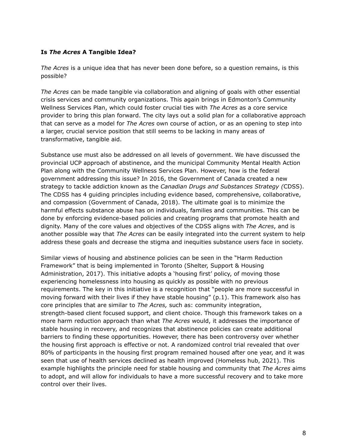#### **Is** *The Acres* **A Tangible Idea?**

*The Acres* is a unique idea that has never been done before, so a question remains, is this possible?

*The Acres* can be made tangible via collaboration and aligning of goals with other essential crisis services and community organizations. This again brings in Edmonton's Community Wellness Services Plan, which could foster crucial ties with *The Acres* as a core service provider to bring this plan forward. The city lays out a solid plan for a collaborative approach that can serve as a model for *The Acres* own course of action, or as an opening to step into a larger, crucial service position that still seems to be lacking in many areas of transformative, tangible aid.

Substance use must also be addressed on all levels of government. We have discussed the provincial UCP approach of abstinence, and the municipal Community Mental Health Action Plan along with the Community Wellness Services Plan. However, how is the federal government addressing this issue? In 2016, the Government of Canada created a new strategy to tackle addiction known as the *Canadian Drugs and Substances Strategy (*CDSS). The CDSS has 4 guiding principles including evidence based, comprehensive, collaborative, and compassion (Government of Canada, 2018). The ultimate goal is to minimize the harmful effects substance abuse has on individuals, families and communities. This can be done by enforcing evidence-based policies and creating programs that promote health and dignity. Many of the core values and objectives of the CDSS aligns with *The Acres*, and is another possible way that *The Acres* can be easily integrated into the current system to help address these goals and decrease the stigma and inequities substance users face in society.

Similar views of housing and abstinence policies can be seen in the "Harm Reduction Framework" that is being implemented in Toronto (Shelter, Support & Housing Administration, 2017). This initiative adopts a 'housing first' policy, of moving those experiencing homelessness into housing as quickly as possible with no previous requirements. The key in this initiative is a recognition that "people are more successful in moving forward with their lives if they have stable housing" (p.1). This framework also has core principles that are similar to *The Acres,* such as: community integration, strength-based client focused support, and client choice. Though this framework takes on a more harm reduction approach than what *The Acres* would, it addresses the importance of stable housing in recovery, and recognizes that abstinence policies can create additional barriers to finding these opportunities. However, there has been controversy over whether the housing first approach is effective or not. A randomized control trial revealed that over 80% of participants in the housing first program remained housed after one year, and it was seen that use of health services declined as health improved (Homeless hub, 2021). This example highlights the principle need for stable housing and community that *The Acres* aims to adopt, and will allow for individuals to have a more successful recovery and to take more control over their lives.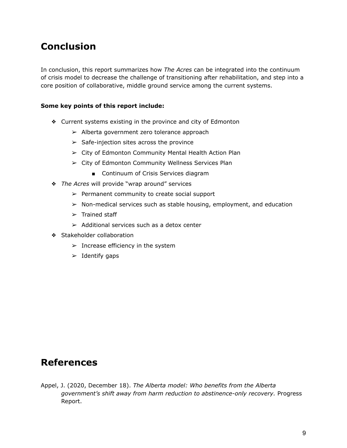# **Conclusion**

In conclusion, this report summarizes how *The Acres* can be integrated into the continuum of crisis model to decrease the challenge of transitioning after rehabilitation, and step into a core position of collaborative, middle ground service among the current systems.

### **Some key points of this report include:**

- ❖ Current systems existing in the province and city of Edmonton
	- $\geq$  Alberta government zero tolerance approach
	- $\triangleright$  Safe-injection sites across the province
	- ➢ City of Edmonton Community Mental Health Action Plan
	- ➢ City of Edmonton Community Wellness Services Plan
		- Continuum of Crisis Services diagram
- ❖ *The Acres* will provide "wrap around" services
	- $\triangleright$  Permanent community to create social support
	- ➢ Non-medical services such as stable housing, employment, and education
	- $\triangleright$  Trained staff
	- $\geq$  Additional services such as a detox center
- ❖ Stakeholder collaboration
	- $\blacktriangleright$  Increase efficiency in the system
	- $\blacktriangleright$  Identify gaps

### **References**

Appel, J. (2020, December 18). *The Alberta model: Who benefits from the Alberta government's shift away from harm reduction to abstinence-only recovery.* Progress Report.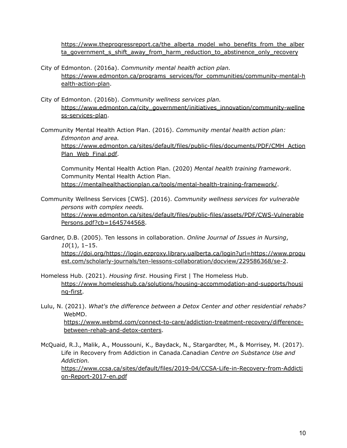[https://www.theprogressreport.ca/the\\_alberta\\_model\\_who\\_benefits\\_from\\_the\\_alber](https://www.theprogressreport.ca/the_alberta_model_who_benefits_from_the_alberta_government_s_shift_away_from_harm_reduction_to_abstinence_only_recovery) [ta\\_government\\_s\\_shift\\_away\\_from\\_harm\\_reduction\\_to\\_abstinence\\_only\\_recovery](https://www.theprogressreport.ca/the_alberta_model_who_benefits_from_the_alberta_government_s_shift_away_from_harm_reduction_to_abstinence_only_recovery)

- City of Edmonton. (2016a). *Community mental health action plan.* [https://www.edmonton.ca/programs\\_services/for\\_communities/community-mental-h](https://www.edmonton.ca/programs_services/for_communities/community-mental-health-action-plan) [ealth-action-plan.](https://www.edmonton.ca/programs_services/for_communities/community-mental-health-action-plan)
- City of Edmonton. (2016b). *Community wellness services plan.* [https://www.edmonton.ca/city\\_government/initiatives\\_innovation/community-wellne](https://www.edmonton.ca/city_government/initiatives_innovation/community-wellness-services-plan) [ss-services-plan](https://www.edmonton.ca/city_government/initiatives_innovation/community-wellness-services-plan).
- Community Mental Health Action Plan. (2016). *Community mental health action plan: Edmonton and area.* [https://www.edmonton.ca/sites/default/files/public-files/documents/PDF/CMH\\_Action](https://www.edmonton.ca/sites/default/files/public-files/documents/PDF/CMH_ActionPlan_Web_Final.pdf) [Plan\\_Web\\_Final.pdf.](https://www.edmonton.ca/sites/default/files/public-files/documents/PDF/CMH_ActionPlan_Web_Final.pdf)

Community Mental Health Action Plan. (2020) *Mental health training framework*. Community Mental Health Action Plan. <https://mentalhealthactionplan.ca/tools/mental-health-training-framework/>.

- Community Wellness Services [CWS]. (2016). *Community wellness services for vulnerable persons with complex needs.* [https://www.edmonton.ca/sites/default/files/public-files/assets/PDF/CWS-Vulnerable](https://www.edmonton.ca/sites/default/files/public-files/assets/PDF/CWS-VulnerablePersons.pdf?cb=1645744568) [Persons.pdf?cb=1645744568.](https://www.edmonton.ca/sites/default/files/public-files/assets/PDF/CWS-VulnerablePersons.pdf?cb=1645744568)
- Gardner, D.B. (2005). Ten lessons in collaboration. *Online Journal of Issues in Nursing*, *10*(1), 1–15. [https://doi.org/https://login.ezproxy.library.ualberta.ca/login?url=https://www.proqu](https://doi.org/https://login.ezproxy.library.ualberta.ca/login?url=https://www.proquest.com/scholarly-journals/ten-lessons-collaboration/docview/229586368/se-2) [est.com/scholarly-journals/ten-lessons-collaboration/docview/229586368/se-2](https://doi.org/https://login.ezproxy.library.ualberta.ca/login?url=https://www.proquest.com/scholarly-journals/ten-lessons-collaboration/docview/229586368/se-2).
- Homeless Hub. (2021). *Housing first*. Housing First | The Homeless Hub. [https://www.homelesshub.ca/solutions/housing-accommodation-and-supports/housi](https://www.homelesshub.ca/solutions/housing-accommodation-and-supports/housing-first) [ng-first.](https://www.homelesshub.ca/solutions/housing-accommodation-and-supports/housing-first)
- Lulu, N. (2021). *What's the difference between a Detox Center and other residential rehabs?* WebMD. [https://www.webmd.com/connect-to-care/addiction-treatment-recovery/difference](https://www.webmd.com/connect-to-care/addiction-treatment-recovery/difference-between-rehab-and-detox-centers)[between-rehab-and-detox-centers](https://www.webmd.com/connect-to-care/addiction-treatment-recovery/difference-between-rehab-and-detox-centers).
- McQuaid, R.J., Malik, A., Moussouni, K., Baydack, N., Stargardter, M., & Morrisey, M. (2017). Life in Recovery from Addiction in Canada.Canadian *Centre on Substance Use and Addiction.* [https://www.ccsa.ca/sites/default/files/2019-04/CCSA-Life-in-Recovery-from-Addicti](https://www.ccsa.ca/sites/default/files/2019-04/CCSA-Life-in-Recovery-from-Addiction-Report-2017-en.pdf) [on-Report-2017-en.pdf](https://www.ccsa.ca/sites/default/files/2019-04/CCSA-Life-in-Recovery-from-Addiction-Report-2017-en.pdf)